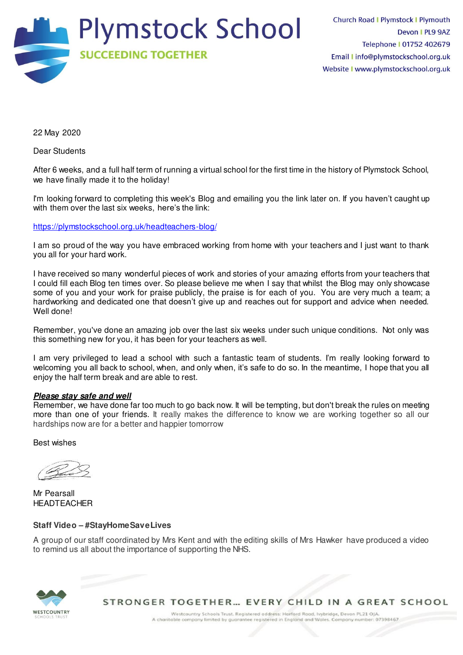

22 May 2020

Dear Students

After 6 weeks, and a full half term of running a virtual school for the first time in the history of Plymstock School, we have finally made it to the holiday!

I'm looking forward to completing this week's Blog and emailing you the link later on. If you haven't caught up with them over the last six weeks, here's the link:

<https://plymstockschool.org.uk/headteachers-blog/>

I am so proud of the way you have embraced working from home with your teachers and I just want to thank you all for your hard work.

I have received so many wonderful pieces of work and stories of your amazing efforts from your teachers that I could fill each Blog ten times over. So please believe me when I say that whilst the Blog may only showcase some of you and your work for praise publicly, the praise is for each of you. You are very much a team; a hardworking and dedicated one that doesn't give up and reaches out for support and advice when needed. Well done!

Remember, you've done an amazing job over the last six weeks under such unique conditions. Not only was this something new for you, it has been for your teachers as well.

I am very privileged to lead a school with such a fantastic team of students. I'm really looking forward to welcoming you all back to school, when, and only when, it's safe to do so. In the meantime, I hope that you all enjoy the half term break and are able to rest.

## **Please stay safe and well**

Remember, we have done far too much to go back now. It will be tempting, but don't break the rules on meeting more than one of your friends. It really makes the difference to know we are working together so all our hardships now are for a better and happier tomorrow

Best wishes

Mr Pearsall HEADTEACHER

## **Staff Video – #StayHomeSaveLives**

A group of our staff coordinated by Mrs Kent and with the editing skills of Mrs Hawker have produced a video to remind us all about the importance of supporting the NHS.



STRONGER TOGETHER... EVERY CHILD IN A GREAT SCHOOL

Westcountry Schools Trust. Registered address: Harford Road, Ivybridge, Devon PL21 OJA A charitable company limited by guarantee registered in England and Wales. Company number: 07398467